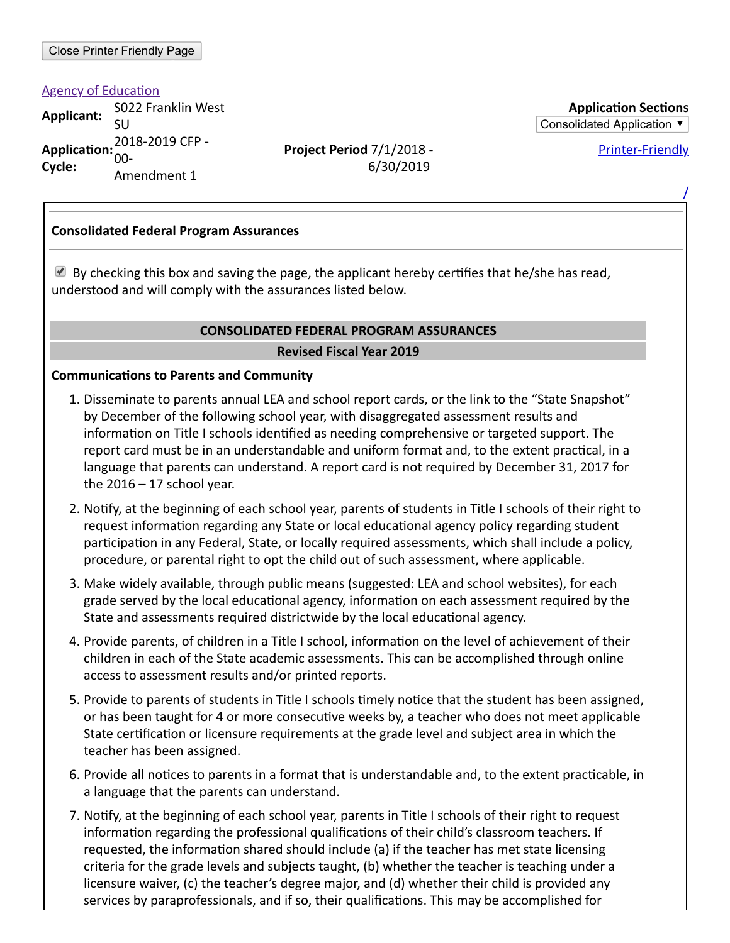**Agency of Education** 

**Applicant:** S022 Franklin West 5022 Frankini vest<br>SU **Application:** 2018-2019 CFP -**Cycle:** 00- Amendment 1

**Project Period** 7/1/2018 - 6/30/2019

**Application Sections** Consolidated Application ▼

Printer-Friendly

/

#### **Consolidated Federal Program Assurances**

By checking this box and saving the page, the applicant hereby certifies that he/she has read, understood and will comply with the assurances listed below.

#### **CONSOLIDATED FEDERAL PROGRAM ASSURANCES**

#### **Revised Fiscal Year 2019**

#### **Communications to Parents and Community**

- 1. Disseminate to parents annual LEA and school report cards, or the link to the "State Snapshot" by December of the following school year, with disaggregated assessment results and information on Title I schools identified as needing comprehensive or targeted support. The report card must be in an understandable and uniform format and, to the extent practical, in a language that parents can understand. A report card is not required by December 31, 2017 for the  $2016 - 17$  school year.
- 2. Notify, at the beginning of each school year, parents of students in Title I schools of their right to request information regarding any State or local educational agency policy regarding student participation in any Federal, State, or locally required assessments, which shall include a policy, procedure, or parental right to opt the child out of such assessment, where applicable.
- 3. Make widely available, through public means (suggested: LEA and school websites), for each grade served by the local educational agency, information on each assessment required by the State and assessments required districtwide by the local educational agency.
- 4. Provide parents, of children in a Title I school, information on the level of achievement of their children in each of the State academic assessments. This can be accomplished through online access to assessment results and/or printed reports.
- 5. Provide to parents of students in Title I schools timely notice that the student has been assigned, or has been taught for 4 or more consecutive weeks by, a teacher who does not meet applicable State certification or licensure requirements at the grade level and subject area in which the teacher has been assigned.
- 6. Provide all notices to parents in a format that is understandable and, to the extent practicable, in a language that the parents can understand.
- 7. Notify, at the beginning of each school year, parents in Title I schools of their right to request information regarding the professional qualifications of their child's classroom teachers. If requested, the information shared should include (a) if the teacher has met state licensing criteria for the grade levels and subjects taught, (b) whether the teacher is teaching under a licensure waiver, (c) the teacher's degree major, and (d) whether their child is provided any services by paraprofessionals, and if so, their qualifications. This may be accomplished for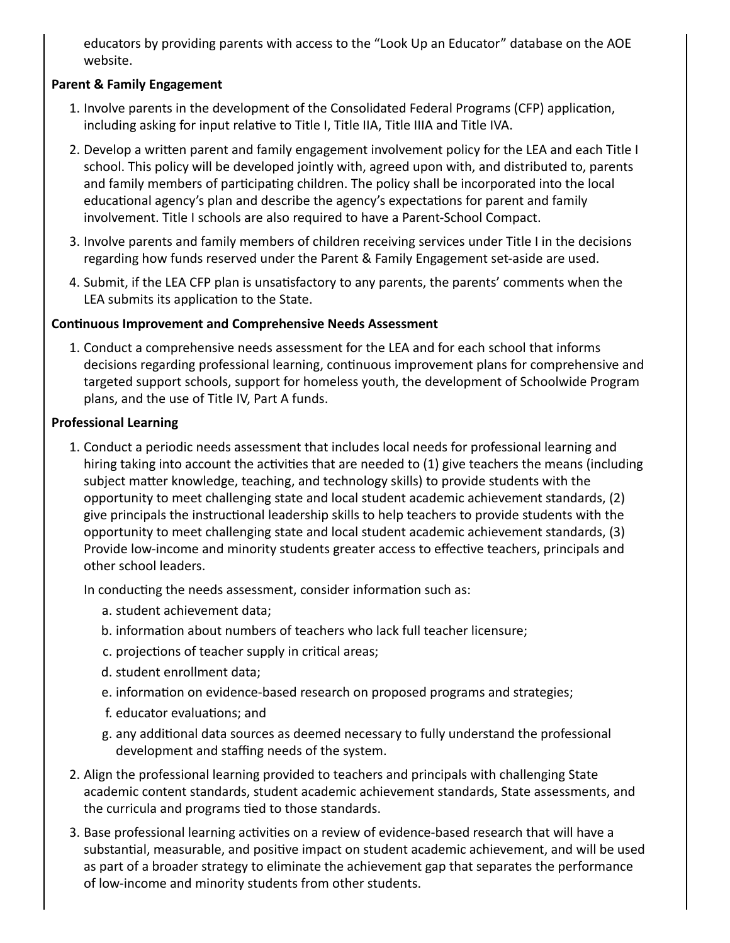educators by providing parents with access to the "Look Up an Educator" database on the AOE website.

# **Parent & Family Engagement**

- 1. Involve parents in the development of the Consolidated Federal Programs (CFP) application, including asking for input relative to Title I, Title IIA, Title IIIA and Title IVA.
- 2. Develop a written parent and family engagement involvement policy for the LEA and each Title I school. This policy will be developed jointly with, agreed upon with, and distributed to, parents and family members of participating children. The policy shall be incorporated into the local educational agency's plan and describe the agency's expectations for parent and family involvement. Title I schools are also required to have a Parent-School Compact.
- 3. Involve parents and family members of children receiving services under Title I in the decisions regarding how funds reserved under the Parent & Family Engagement set-aside are used.
- 4. Submit, if the LEA CFP plan is unsatisfactory to any parents, the parents' comments when the LEA submits its application to the State.

## **Continuous Improvement and Comprehensive Needs Assessment**

1. Conduct a comprehensive needs assessment for the LEA and for each school that informs decisions regarding professional learning, continuous improvement plans for comprehensive and targeted support schools, support for homeless youth, the development of Schoolwide Program plans, and the use of Title IV, Part A funds.

# **Professional Learning**

1. Conduct a periodic needs assessment that includes local needs for professional learning and hiring taking into account the activities that are needed to (1) give teachers the means (including subject matter knowledge, teaching, and technology skills) to provide students with the opportunity to meet challenging state and local student academic achievement standards, (2) give principals the instructional leadership skills to help teachers to provide students with the opportunity to meet challenging state and local student academic achievement standards, (3) Provide low-income and minority students greater access to effective teachers, principals and other school leaders.

In conducting the needs assessment, consider information such as:

- a. student achievement data;
- b. information about numbers of teachers who lack full teacher licensure;
- c. projections of teacher supply in critical areas;
- d. student enrollment data;
- e. information on evidence-based research on proposed programs and strategies;
- f. educator evaluations; and
- g. any additional data sources as deemed necessary to fully understand the professional development and staffing needs of the system.
- 2. Align the professional learning provided to teachers and principals with challenging State academic content standards, student academic achievement standards, State assessments, and the curricula and programs tied to those standards.
- 3. Base professional learning activities on a review of evidence-based research that will have a substantial, measurable, and positive impact on student academic achievement, and will be used as part of a broader strategy to eliminate the achievement gap that separates the performance of low-income and minority students from other students.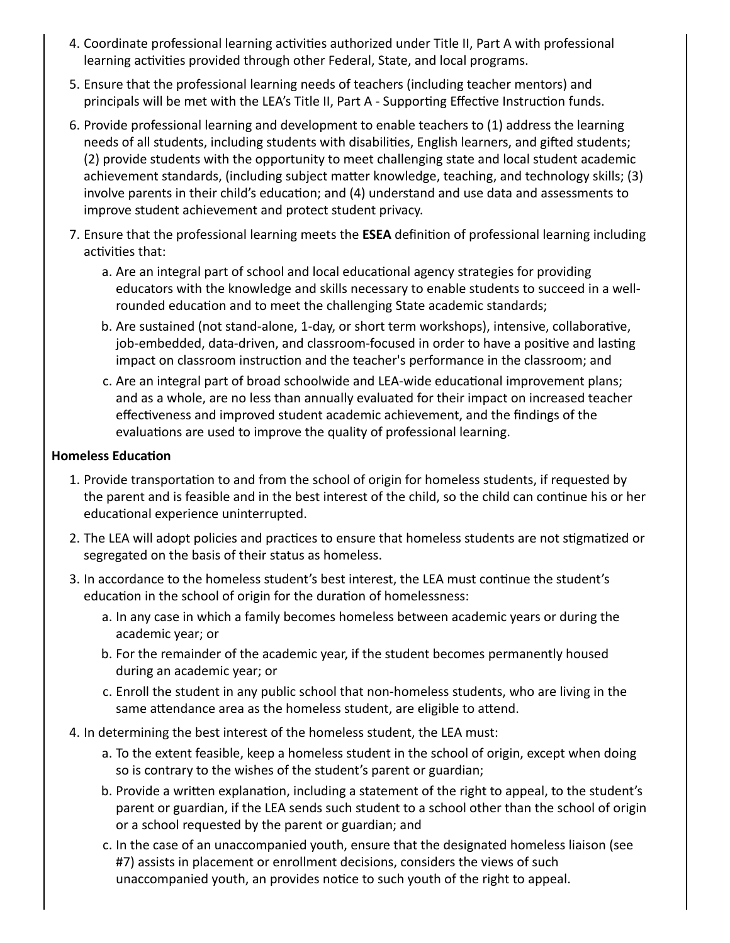- 4. Coordinate professional learning activities authorized under Title II, Part A with professional learning activities provided through other Federal, State, and local programs.
- 5. Ensure that the professional learning needs of teachers (including teacher mentors) and principals will be met with the LEA's Title II, Part A - Supporting Effective Instruction funds.
- 6. Provide professional learning and development to enable teachers to (1) address the learning needs of all students, including students with disabilities, English learners, and gifted students; (2) provide students with the opportunity to meet challenging state and local student academic achievement standards, (including subject matter knowledge, teaching, and technology skills; (3) involve parents in their child's education; and (4) understand and use data and assessments to improve student achievement and protect student privacy.
- 7. Ensure that the professional learning meets the **ESEA** definition of professional learning including activities that:
	- a. Are an integral part of school and local educational agency strategies for providing educators with the knowledge and skills necessary to enable students to succeed in a wellrounded education and to meet the challenging State academic standards;
	- b. Are sustained (not stand-alone, 1-day, or short term workshops), intensive, collaborative, job-embedded, data-driven, and classroom-focused in order to have a positive and lasting impact on classroom instruction and the teacher's performance in the classroom; and
	- c. Are an integral part of broad schoolwide and LEA-wide educational improvement plans; and as a whole, are no less than annually evaluated for their impact on increased teacher effectiveness and improved student academic achievement, and the findings of the evaluations are used to improve the quality of professional learning.

#### **Homeless Education**

- 1. Provide transportation to and from the school of origin for homeless students, if requested by the parent and is feasible and in the best interest of the child, so the child can continue his or her educational experience uninterrupted.
- 2. The LEA will adopt policies and practices to ensure that homeless students are not stigmatized or segregated on the basis of their status as homeless.
- 3. In accordance to the homeless student's best interest, the LEA must continue the student's education in the school of origin for the duration of homelessness:
	- a. In any case in which a family becomes homeless between academic years or during the academic year; or
	- b. For the remainder of the academic year, if the student becomes permanently housed during an academic year; or
	- c. Enroll the student in any public school that non-homeless students, who are living in the same attendance area as the homeless student, are eligible to attend.
- 4. In determining the best interest of the homeless student, the LEA must:
	- a. To the extent feasible, keep a homeless student in the school of origin, except when doing so is contrary to the wishes of the student's parent or guardian;
	- b. Provide a written explanation, including a statement of the right to appeal, to the student's parent or guardian, if the LEA sends such student to a school other than the school of origin or a school requested by the parent or guardian; and
	- c. In the case of an unaccompanied youth, ensure that the designated homeless liaison (see #7) assists in placement or enrollment decisions, considers the views of such unaccompanied youth, an provides notice to such youth of the right to appeal.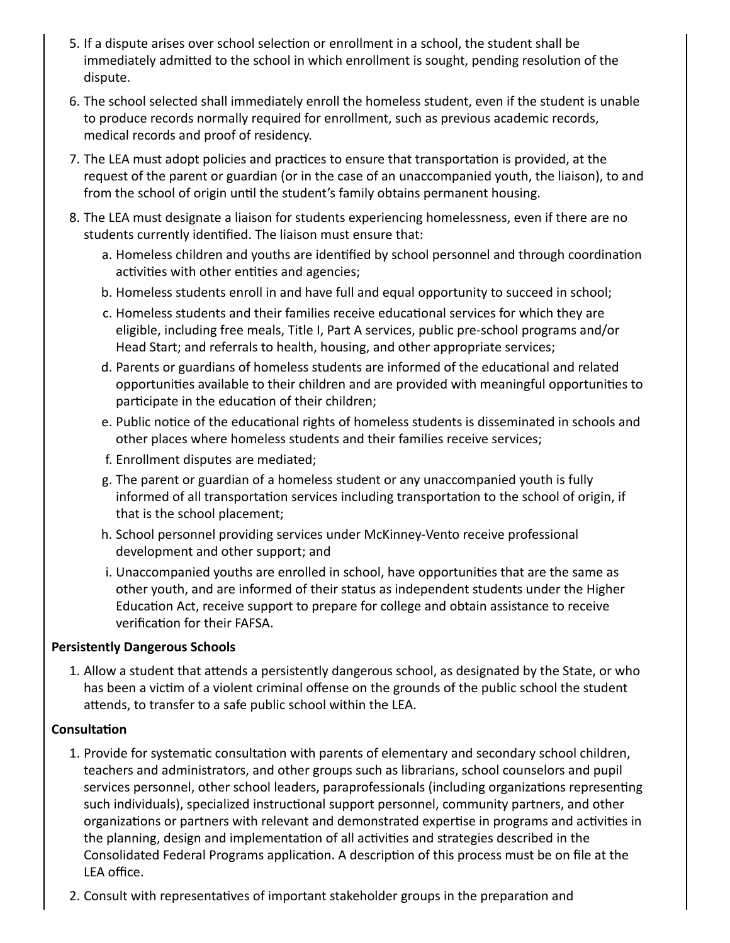- 5. If a dispute arises over school selection or enrollment in a school, the student shall be immediately admitted to the school in which enrollment is sought, pending resolution of the dispute.
- 6. The school selected shall immediately enroll the homeless student, even if the student is unable to produce records normally required for enrollment, such as previous academic records, medical records and proof of residency.
- 7. The LEA must adopt policies and practices to ensure that transportation is provided, at the request of the parent or guardian (or in the case of an unaccompanied youth, the liaison), to and from the school of origin until the student's family obtains permanent housing.
- 8. The LEA must designate a liaison for students experiencing homelessness, even if there are no students currently identified. The liaison must ensure that:
	- a. Homeless children and youths are identified by school personnel and through coordination activities with other entities and agencies;
	- b. Homeless students enroll in and have full and equal opportunity to succeed in school;
	- c. Homeless students and their families receive educational services for which they are eligible, including free meals, Title I, Part A services, public pre-school programs and/or Head Start; and referrals to health, housing, and other appropriate services;
	- d. Parents or guardians of homeless students are informed of the educational and related opportunities available to their children and are provided with meaningful opportunities to participate in the education of their children;
	- e. Public notice of the educational rights of homeless students is disseminated in schools and other places where homeless students and their families receive services;
	- f. Enrollment disputes are mediated;
	- g. The parent or guardian of a homeless student or any unaccompanied youth is fully informed of all transportation services including transportation to the school of origin, if that is the school placement;
	- h. School personnel providing services under McKinney-Vento receive professional development and other support; and
	- i. Unaccompanied youths are enrolled in school, have opportunities that are the same as other youth, and are informed of their status as independent students under the Higher Education Act, receive support to prepare for college and obtain assistance to receive verification for their FAFSA.

#### **Persistently Dangerous Schools**

1. Allow a student that attends a persistently dangerous school, as designated by the State, or who has been a victim of a violent criminal offense on the grounds of the public school the student attends, to transfer to a safe public school within the LEA.

## **Consultation**

- 1. Provide for systematic consultation with parents of elementary and secondary school children, teachers and administrators, and other groups such as librarians, school counselors and pupil services personnel, other school leaders, paraprofessionals (including organizations representing such individuals), specialized instructional support personnel, community partners, and other organizations or partners with relevant and demonstrated expertise in programs and activities in the planning, design and implementation of all activities and strategies described in the Consolidated Federal Programs application. A description of this process must be on file at the LEA office.
- 2. Consult with representatives of important stakeholder groups in the preparation and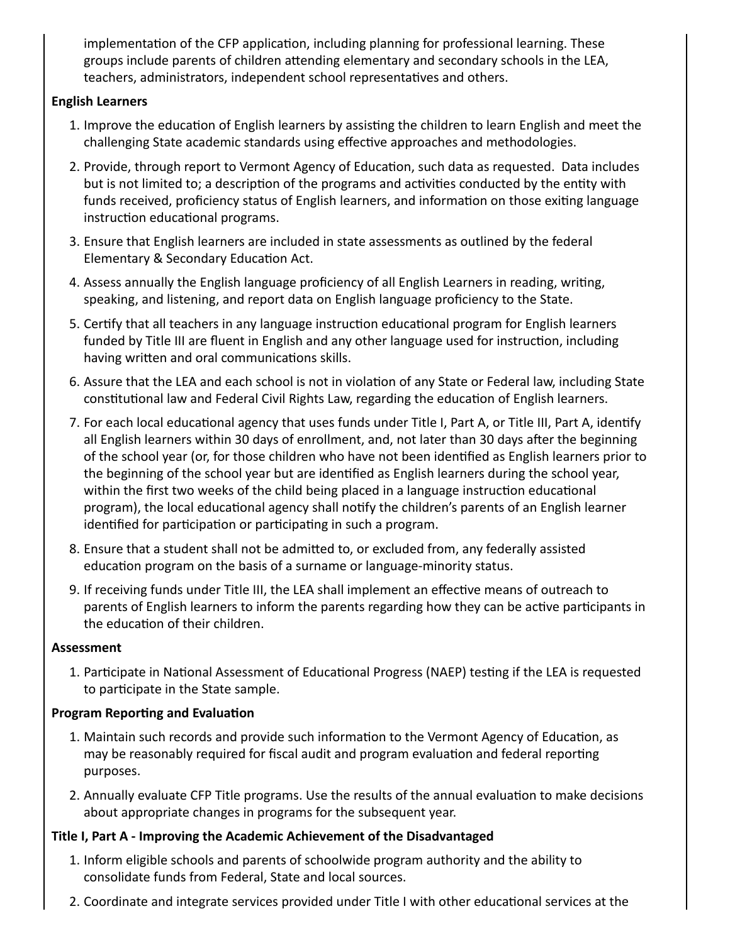implementation of the CFP application, including planning for professional learning. These groups include parents of children attending elementary and secondary schools in the LEA, teachers, administrators, independent school representatives and others.

## **English Learners**

- 1. Improve the education of English learners by assisting the children to learn English and meet the challenging State academic standards using effective approaches and methodologies.
- 2. Provide, through report to Vermont Agency of Education, such data as requested. Data includes but is not limited to; a description of the programs and activities conducted by the entity with funds received, proficiency status of English learners, and information on those exiting language instruction educational programs.
- 3. Ensure that English learners are included in state assessments as outlined by the federal Elementary & Secondary Education Act.
- 4. Assess annually the English language proficiency of all English Learners in reading, writing, speaking, and listening, and report data on English language proficiency to the State.
- 5. Certify that all teachers in any language instruction educational program for English learners funded by Title III are fluent in English and any other language used for instruction, including having written and oral communications skills.
- 6. Assure that the LEA and each school is not in violation of any State or Federal law, including State constitutional law and Federal Civil Rights Law, regarding the education of English learners.
- 7. For each local educational agency that uses funds under Title I, Part A, or Title III, Part A, identify all English learners within 30 days of enrollment, and, not later than 30 days after the beginning of the school year (or, for those children who have not been idenfied as English learners prior to the beginning of the school year but are identified as English learners during the school year, within the first two weeks of the child being placed in a language instruction educational program), the local educational agency shall notify the children's parents of an English learner identified for participation or participating in such a program.
- 8. Ensure that a student shall not be admitted to, or excluded from, any federally assisted education program on the basis of a surname or language-minority status.
- 9. If receiving funds under Title III, the LEA shall implement an effective means of outreach to parents of English learners to inform the parents regarding how they can be active participants in the education of their children.

#### **Assessment**

1. Participate in National Assessment of Educational Progress (NAEP) testing if the LEA is requested to participate in the State sample.

## **Program Reporting and Evaluation**

- 1. Maintain such records and provide such information to the Vermont Agency of Education, as may be reasonably required for fiscal audit and program evaluation and federal reporting purposes.
- 2. Annually evaluate CFP Title programs. Use the results of the annual evaluation to make decisions about appropriate changes in programs for the subsequent year.

## **Title I, Part A - Improving the Academic Achievement of the Disadvantaged**

- 1. Inform eligible schools and parents of schoolwide program authority and the ability to consolidate funds from Federal, State and local sources.
- 2. Coordinate and integrate services provided under Title I with other educational services at the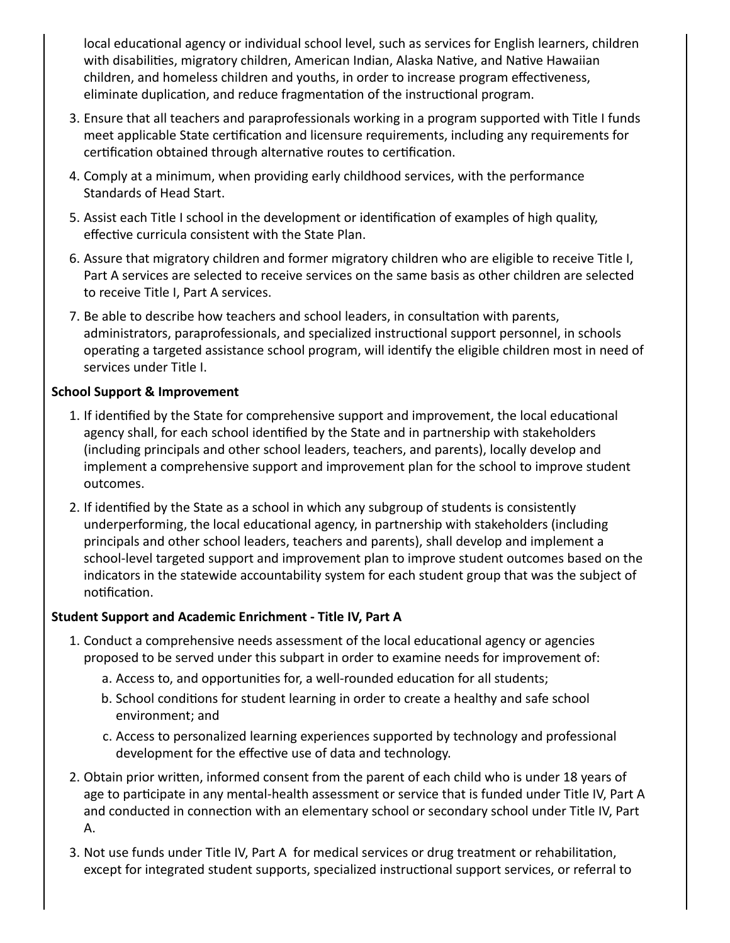local educational agency or individual school level, such as services for English learners, children with disabilities, migratory children, American Indian, Alaska Native, and Native Hawaiian children, and homeless children and youths, in order to increase program effectiveness, eliminate duplication, and reduce fragmentation of the instructional program.

- 3. Ensure that all teachers and paraprofessionals working in a program supported with Title I funds meet applicable State certification and licensure requirements, including any requirements for certification obtained through alternative routes to certification.
- 4. Comply at a minimum, when providing early childhood services, with the performance Standards of Head Start.
- 5. Assist each Title I school in the development or identification of examples of high quality, effective curricula consistent with the State Plan.
- 6. Assure that migratory children and former migratory children who are eligible to receive Title I, Part A services are selected to receive services on the same basis as other children are selected to receive Title I, Part A services.
- 7. Be able to describe how teachers and school leaders, in consultation with parents, administrators, paraprofessionals, and specialized instructional support personnel, in schools operating a targeted assistance school program, will identify the eligible children most in need of services under Title I.

# **School Support & Improvement**

- 1. If identified by the State for comprehensive support and improvement, the local educational agency shall, for each school idenfied by the State and in partnership with stakeholders (including principals and other school leaders, teachers, and parents), locally develop and implement a comprehensive support and improvement plan for the school to improve student outcomes.
- 2. If idenfied by the State as a school in which any subgroup of students is consistently underperforming, the local educational agency, in partnership with stakeholders (including principals and other school leaders, teachers and parents), shall develop and implement a school-level targeted support and improvement plan to improve student outcomes based on the indicators in the statewide accountability system for each student group that was the subject of notification.

## **Student Support and Academic Enrichment - Title IV, Part A**

- 1. Conduct a comprehensive needs assessment of the local educational agency or agencies proposed to be served under this subpart in order to examine needs for improvement of:
	- a. Access to, and opportunities for, a well-rounded education for all students;
	- b. School conditions for student learning in order to create a healthy and safe school environment; and
	- c. Access to personalized learning experiences supported by technology and professional development for the effective use of data and technology.
- 2. Obtain prior written, informed consent from the parent of each child who is under 18 years of age to participate in any mental-health assessment or service that is funded under Title IV, Part A and conducted in connection with an elementary school or secondary school under Title IV, Part A.
- 3. Not use funds under Title IV, Part A for medical services or drug treatment or rehabilitation, except for integrated student supports, specialized instructional support services, or referral to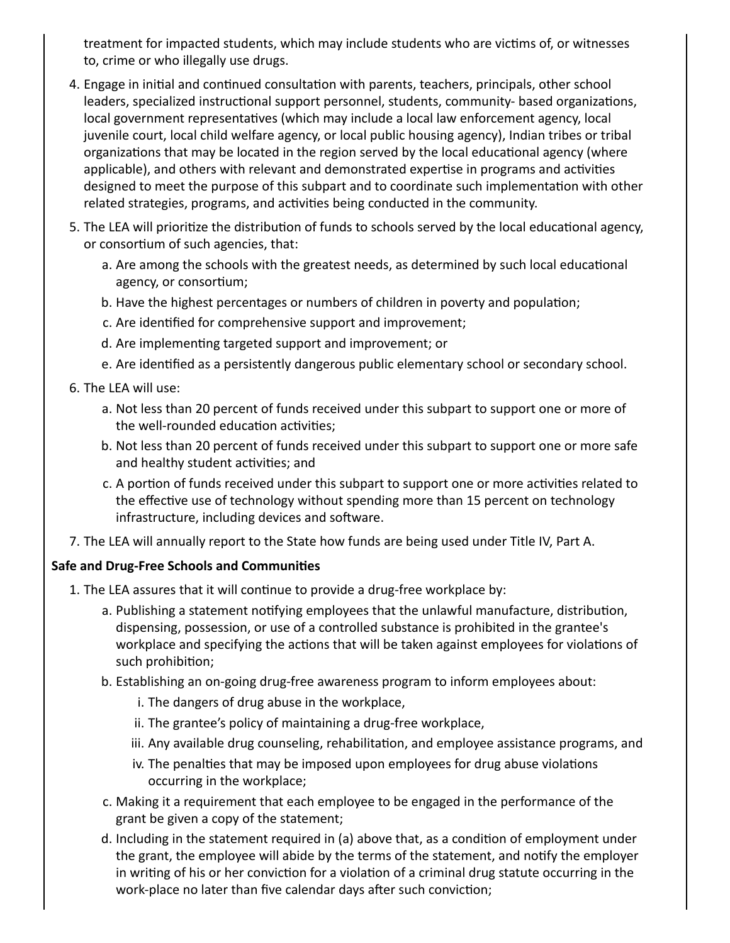treatment for impacted students, which may include students who are victims of, or witnesses to, crime or who illegally use drugs.

- 4. Engage in initial and continued consultation with parents, teachers, principals, other school leaders, specialized instructional support personnel, students, community- based organizations, local government representatives (which may include a local law enforcement agency, local juvenile court, local child welfare agency, or local public housing agency), Indian tribes or tribal organizations that may be located in the region served by the local educational agency (where applicable), and others with relevant and demonstrated expertise in programs and activities designed to meet the purpose of this subpart and to coordinate such implementation with other related strategies, programs, and activities being conducted in the community.
- 5. The LEA will prioritize the distribution of funds to schools served by the local educational agency, or consortium of such agencies, that:
	- a. Are among the schools with the greatest needs, as determined by such local educational agency, or consortium;
	- b. Have the highest percentages or numbers of children in poverty and population;
	- c. Are idenfied for comprehensive support and improvement;
	- d. Are implementing targeted support and improvement; or
	- e. Are idenfied as a persistently dangerous public elementary school or secondary school.
- 6. The LEA will use:
	- a. Not less than 20 percent of funds received under this subpart to support one or more of the well-rounded education activities;
	- b. Not less than 20 percent of funds received under this subpart to support one or more safe and healthy student activities; and
	- c. A portion of funds received under this subpart to support one or more activities related to the effective use of technology without spending more than 15 percent on technology infrastructure, including devices and software.
- 7. The LEA will annually report to the State how funds are being used under Title IV, Part A.

#### **Safe and Drug-Free Schools and Communies**

- 1. The LEA assures that it will continue to provide a drug-free workplace by:
	- a. Publishing a statement notifying employees that the unlawful manufacture, distribution, dispensing, possession, or use of a controlled substance is prohibited in the grantee's workplace and specifying the actions that will be taken against employees for violations of such prohibition;
	- b. Establishing an on-going drug-free awareness program to inform employees about:
		- i. The dangers of drug abuse in the workplace,
		- ii. The grantee's policy of maintaining a drug-free workplace,
		- iii. Any available drug counseling, rehabilitation, and employee assistance programs, and
		- iv. The penalties that may be imposed upon employees for drug abuse violations occurring in the workplace;
	- c. Making it a requirement that each employee to be engaged in the performance of the grant be given a copy of the statement;
	- d. Including in the statement required in (a) above that, as a condition of employment under the grant, the employee will abide by the terms of the statement, and notify the employer in writing of his or her conviction for a violation of a criminal drug statute occurring in the work-place no later than five calendar days after such conviction;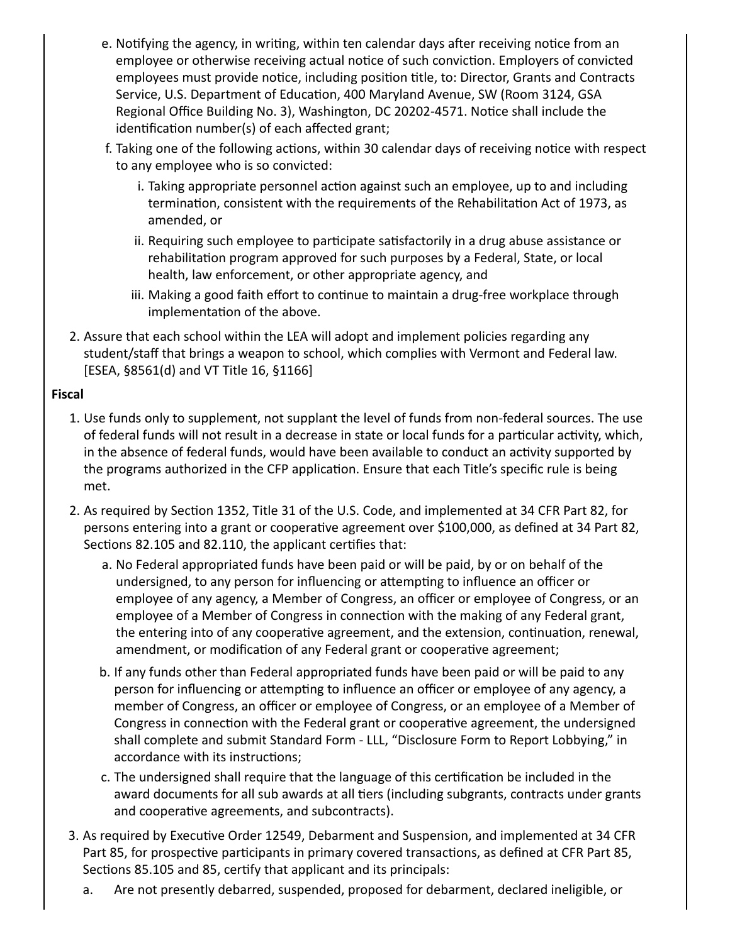- e. Notifying the agency, in writing, within ten calendar days after receiving notice from an employee or otherwise receiving actual notice of such conviction. Employers of convicted employees must provide notice, including position title, to: Director, Grants and Contracts Service, U.S. Department of Education, 400 Maryland Avenue, SW (Room 3124, GSA Regional Office Building No. 3), Washington, DC 20202-4571. Notice shall include the identification number(s) of each affected grant;
- f. Taking one of the following actions, within 30 calendar days of receiving notice with respect to any employee who is so convicted:
	- i. Taking appropriate personnel action against such an employee, up to and including termination, consistent with the requirements of the Rehabilitation Act of 1973, as amended, or
	- ii. Requiring such employee to participate satisfactorily in a drug abuse assistance or rehabilitation program approved for such purposes by a Federal, State, or local health, law enforcement, or other appropriate agency, and
	- iii. Making a good faith effort to continue to maintain a drug-free workplace through implementation of the above.
- 2. Assure that each school within the LEA will adopt and implement policies regarding any student/staff that brings a weapon to school, which complies with Vermont and Federal law. [ESEA, §8561(d) and VT Title 16, §1166]

## **Fiscal**

- 1. Use funds only to supplement, not supplant the level of funds from non-federal sources. The use of federal funds will not result in a decrease in state or local funds for a particular activity, which, in the absence of federal funds, would have been available to conduct an activity supported by the programs authorized in the CFP application. Ensure that each Title's specific rule is being met.
- 2. As required by Section 1352, Title 31 of the U.S. Code, and implemented at 34 CFR Part 82, for persons entering into a grant or cooperative agreement over \$100,000, as defined at 34 Part 82, Sections 82.105 and 82.110, the applicant certifies that:
	- a. No Federal appropriated funds have been paid or will be paid, by or on behalf of the undersigned, to any person for influencing or attempting to influence an officer or employee of any agency, a Member of Congress, an officer or employee of Congress, or an employee of a Member of Congress in connection with the making of any Federal grant, the entering into of any cooperative agreement, and the extension, continuation, renewal, amendment, or modification of any Federal grant or cooperative agreement;
	- b. If any funds other than Federal appropriated funds have been paid or will be paid to any person for influencing or attempting to influence an officer or employee of any agency, a member of Congress, an officer or employee of Congress, or an employee of a Member of Congress in connection with the Federal grant or cooperative agreement, the undersigned shall complete and submit Standard Form - LLL, "Disclosure Form to Report Lobbying," in accordance with its instructions;
	- c. The undersigned shall require that the language of this certification be included in the award documents for all sub awards at all tiers (including subgrants, contracts under grants and cooperative agreements, and subcontracts).
- 3. As required by Executive Order 12549, Debarment and Suspension, and implemented at 34 CFR Part 85, for prospective participants in primary covered transactions, as defined at CFR Part 85, Sections 85.105 and 85, certify that applicant and its principals:
	- a. Are not presently debarred, suspended, proposed for debarment, declared ineligible, or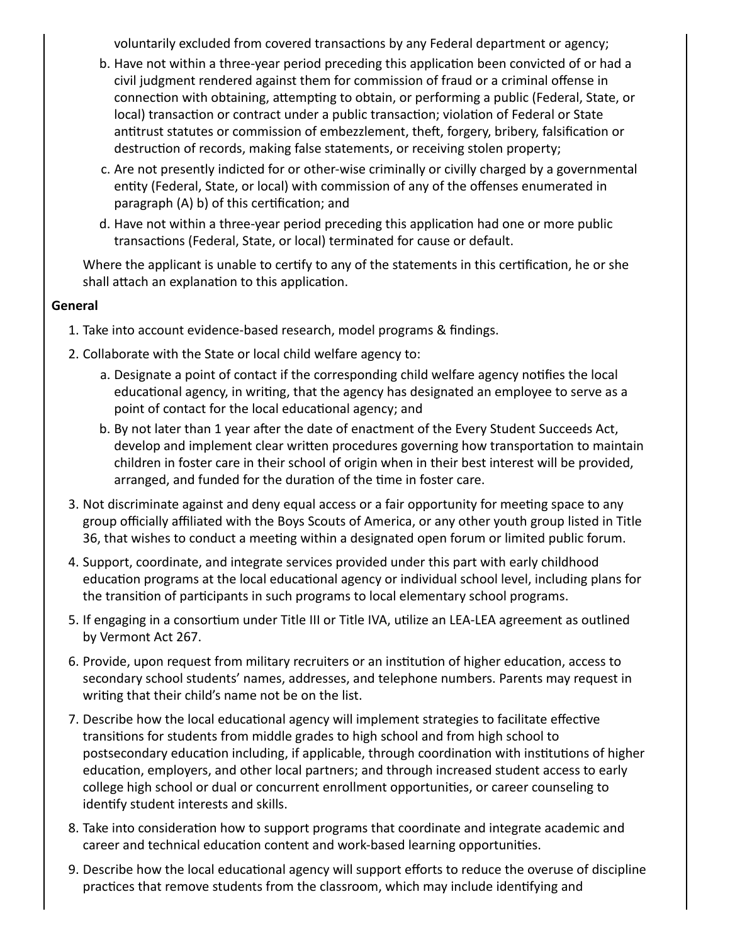voluntarily excluded from covered transactions by any Federal department or agency;

- b. Have not within a three-year period preceding this application been convicted of or had a civil judgment rendered against them for commission of fraud or a criminal offense in connection with obtaining, attempting to obtain, or performing a public (Federal, State, or local) transaction or contract under a public transaction; violation of Federal or State antitrust statutes or commission of embezzlement, theft, forgery, bribery, falsification or destruction of records, making false statements, or receiving stolen property;
- c. Are not presently indicted for or other-wise criminally or civilly charged by a governmental entity (Federal, State, or local) with commission of any of the offenses enumerated in paragraph (A) b) of this certification; and
- d. Have not within a three-year period preceding this application had one or more public transactions (Federal, State, or local) terminated for cause or default.

Where the applicant is unable to certify to any of the statements in this certification, he or she shall attach an explanation to this application.

#### **General**

- 1. Take into account evidence-based research, model programs & findings.
- 2. Collaborate with the State or local child welfare agency to:
	- a. Designate a point of contact if the corresponding child welfare agency nofies the local educational agency, in writing, that the agency has designated an employee to serve as a point of contact for the local educational agency; and
	- b. By not later than 1 year after the date of enactment of the Every Student Succeeds Act, develop and implement clear written procedures governing how transportation to maintain children in foster care in their school of origin when in their best interest will be provided, arranged, and funded for the duration of the time in foster care.
- 3. Not discriminate against and deny equal access or a fair opportunity for meeting space to any group officially affiliated with the Boys Scouts of America, or any other youth group listed in Title 36, that wishes to conduct a meeting within a designated open forum or limited public forum.
- 4. Support, coordinate, and integrate services provided under this part with early childhood education programs at the local educational agency or individual school level, including plans for the transition of participants in such programs to local elementary school programs.
- 5. If engaging in a consortium under Title III or Title IVA, utilize an LEA-LEA agreement as outlined by Vermont Act 267.
- 6. Provide, upon request from military recruiters or an institution of higher education, access to secondary school students' names, addresses, and telephone numbers. Parents may request in writing that their child's name not be on the list.
- 7. Describe how the local educational agency will implement strategies to facilitate effective transitions for students from middle grades to high school and from high school to postsecondary education including, if applicable, through coordination with institutions of higher education, employers, and other local partners; and through increased student access to early college high school or dual or concurrent enrollment opportunities, or career counseling to identify student interests and skills.
- 8. Take into consideration how to support programs that coordinate and integrate academic and career and technical education content and work-based learning opportunities.
- 9. Describe how the local educational agency will support efforts to reduce the overuse of discipline practices that remove students from the classroom, which may include identifying and